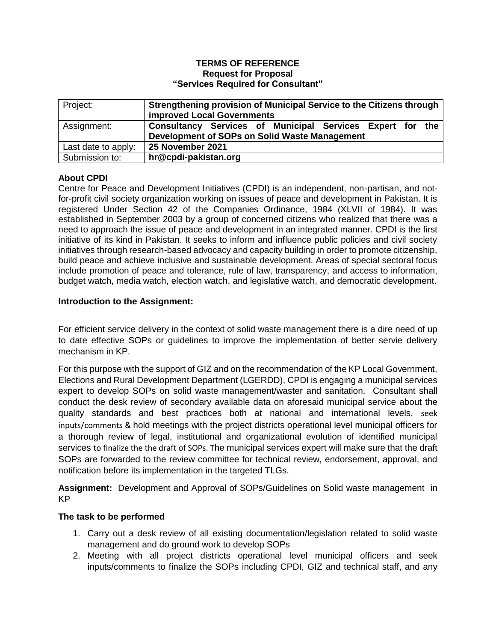### **TERMS OF REFERENCE Request for Proposal "Services Required for Consultant"**

| Project:            | Strengthening provision of Municipal Service to the Citizens through<br><b>improved Local Governments</b> |
|---------------------|-----------------------------------------------------------------------------------------------------------|
| Assignment:         | Consultancy Services of Municipal Services Expert for the                                                 |
|                     | Development of SOPs on Solid Waste Management                                                             |
| Last date to apply: | 25 November 2021                                                                                          |
| Submission to:      | hr@cpdi-pakistan.org                                                                                      |

# **About CPDI**

Centre for Peace and Development Initiatives (CPDI) is an independent, non-partisan, and notfor-profit civil society organization working on issues of peace and development in Pakistan. It is registered Under Section 42 of the Companies Ordinance, 1984 (XLVII of 1984). It was established in September 2003 by a group of concerned citizens who realized that there was a need to approach the issue of peace and development in an integrated manner. CPDI is the first initiative of its kind in Pakistan. It seeks to inform and influence public policies and civil society initiatives through research-based advocacy and capacity building in order to promote citizenship, build peace and achieve inclusive and sustainable development. Areas of special sectoral focus include promotion of peace and tolerance, rule of law, transparency, and access to information, budget watch, media watch, election watch, and legislative watch, and democratic development.

## **Introduction to the Assignment:**

For efficient service delivery in the context of solid waste management there is a dire need of up to date effective SOPs or guidelines to improve the implementation of better servie delivery mechanism in KP.

For this purpose with the support of GIZ and on the recommendation of the KP Local Government, Elections and Rural Development Department (LGERDD), CPDI is engaging a municipal services expert to develop SOPs on solid waste management/waster and sanitation. Consultant shall conduct the desk review of secondary available data on aforesaid municipal service about the quality standards and best practices both at national and international levels, seek inputs/comments & hold meetings with the project districts operational level municipal officers for a thorough review of legal, institutional and organizational evolution of identified municipal services to finalize the the draft of SOPs. The municipal services expert will make sure that the draft SOPs are forwarded to the review committee for technical review, endorsement, approval, and notification before its implementation in the targeted TLGs.

**Assignment:** Development and Approval of SOPs/Guidelines on Solid waste management in KP

## **The task to be performed**

- 1. Carry out a desk review of all existing documentation/legislation related to solid waste management and do ground work to develop SOPs
- 2. Meeting with all project districts operational level municipal officers and seek inputs/comments to finalize the SOPs including CPDI, GIZ and technical staff, and any